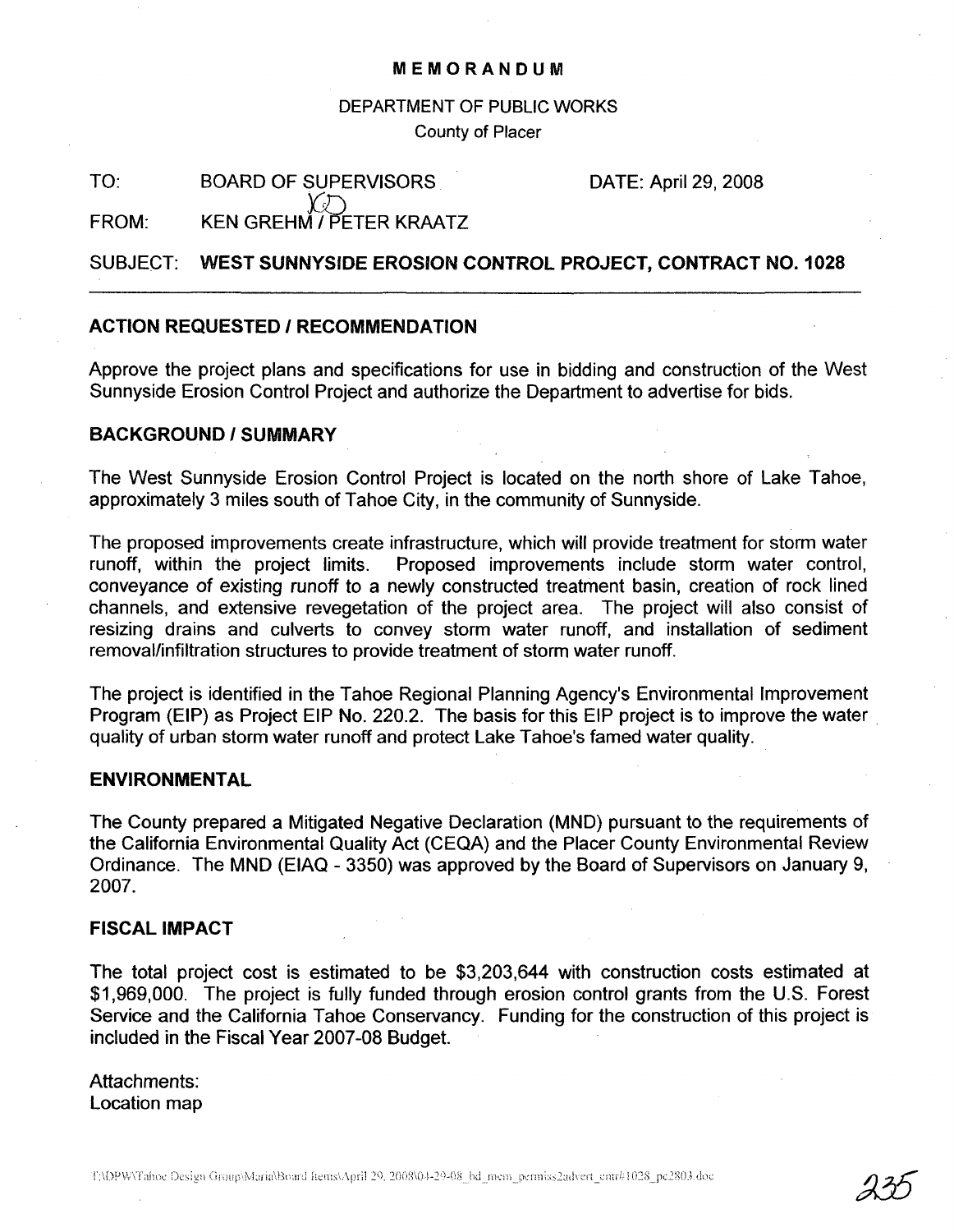#### MEMORANDUM

DEPARTMENT OF PUBLIC WORKS County of Placer

TO: FROM: BOARD OF SUPERVISORS  $\chi_{\!\mathcal{D}}$ KEN GREHM / PETER KRAATZ DATE: April 29, 2008

# SUBJECT: WEST SUNNYSIDE EROSION CONTROL PROJECT, CONTRACT NO. 1028

### ACTION REQUESTED / RECOMMENDATION

Approve the project plans and specifications for use in bidding and construction of the West Sunnyside Erosion Control Project and authorize the Department to advertise for bids.

#### BACKGROUND / SUMMARY

The West Sunnyside Erosion Control Project is located on the north shore of Lake Tahoe, approximately 3 miles south of Tahoe City, in the community of Sunnyside.

The proposed improvements create infrastructure, which will provide treatment for storm water runoff, within the project limits. Proposed improvements include storm water control, conveyance of existing runoff to a newly constructed treatment basin, creation of rock lined channels, and extensive revegetation of the project area. The project will also consist of resizing drains and culverts to convey storm water runoff, and installation of sediment removal/infiltration structures to provide treatment of storm water runoff.

The project is identified in the Tahoe Regional Planning Agency's Environmental Improvement Program (EIP) as Project EIP No. 220.2. The basis for this EIP project is to improve the water. quality of urban storm water runoff and protect Lake Tahoe's famed water quality.

## ENVIRONMENTAL

The County prepared a Mitigated Negative Declaration (MND) pursuant to the requirements of the California Environmental Quality Act (CEQA) and the Placer County Environmental Review Ordinance. The MND (EIAQ - 3350) was approved by the Board of Supervisors on January 9, 2007.

### FISCAL IMPACT

The total project cost is estimated to be \$3,203,644 with construction costs estimated at \$1,969,000. The project is fully funded through erosion control grants from the U.S. Forest Service and the California Tahoe Conservancy. Funding for the construction of this project is included in the Fiscal Year 2007-08 Budget.

Attachments: Location map